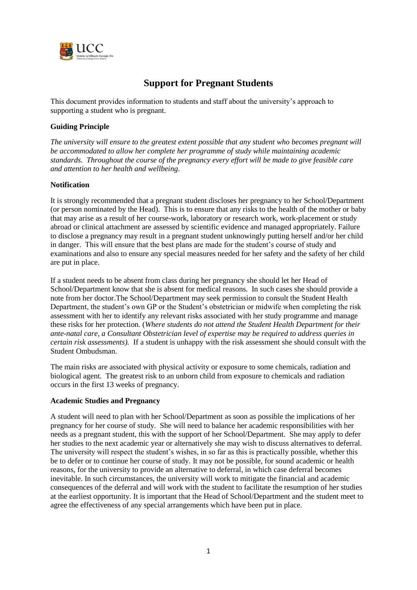

# **Support for Pregnant Students**

This document provides information to students and staff about the university's approach to supporting a student who is pregnant.

## **Guiding Principle**

*The university will ensure to the greatest extent possible that any student who becomes pregnant will be accommodated to allow her complete her programme of study while maintaining academic standards. Throughout the course of the pregnancy every effort will be made to give feasible care and attention to her health and wellbeing*.

## **Notification**

It is strongly recommended that a pregnant student discloses her pregnancy to her School/Department (or person nominated by the Head). This is to ensure that any risks to the health of the mother or baby that may arise as a result of her course-work, laboratory or research work, work-placement or study abroad or clinical attachment are assessed by scientific evidence and managed appropriately. Failure to disclose a pregnancy may result in a pregnant student unknowingly putting herself and/or her child in danger. This will ensure that the best plans are made for the student's course of study and examinations and also to ensure any special measures needed for her safety and the safety of her child are put in place.

If a student needs to be absent from class during her pregnancy she should let her Head of School/Department know that she is absent for medical reasons. In such cases she should provide a note from her doctor.The School/Department may seek permission to consult the Student Health Department, the student's own GP or the Student's obstetrician or midwife when completing the risk assessment with her to identify any relevant risks associated with her study programme and manage these risks for her protection. (*Where students do not attend the Student Health Department for their ante-natal care, a Consultant Obstetrician level of expertise may be required to address queries in certain risk assessments).* If a student is unhappy with the risk assessment she should consult with the Student Ombudsman.

The main risks are associated with physical activity or exposure to some chemicals, radiation and biological agent. The greatest risk to an unborn child from exposure to chemicals and radiation occurs in the first 13 weeks of pregnancy.

#### **Academic Studies and Pregnancy**

A student will need to plan with her School/Department as soon as possible the implications of her pregnancy for her course of study. She will need to balance her academic responsibilities with her needs as a pregnant student, this with the support of her School/Department. She may apply to defer her studies to the next academic year or alternatively she may wish to discuss alternatives to deferral. The university will respect the student's wishes, in so far as this is practically possible, whether this be to defer or to continue her course of study. It may not be possible, for sound academic or health reasons, for the university to provide an alternative to deferral, in which case deferral becomes inevitable. In such circumstances, the university will work to mitigate the financial and academic consequences of the deferral and will work with the student to facilitate the resumption of her studies at the earliest opportunity. It is important that the Head of School/Department and the student meet to agree the effectiveness of any special arrangements which have been put in place.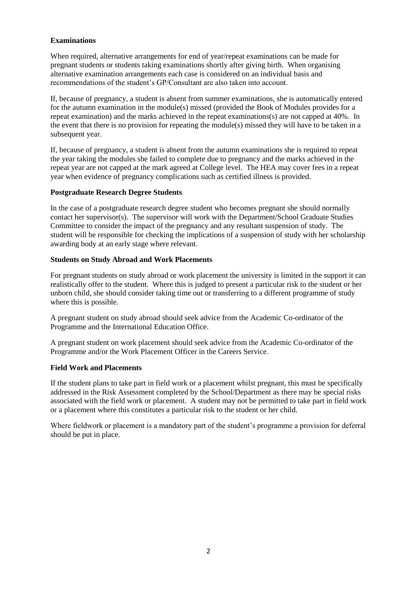## **Examinations**

When required, alternative arrangements for end of year/repeat examinations can be made for pregnant students or students taking examinations shortly after giving birth. When organising alternative examination arrangements each case is considered on an individual basis and recommendations of the student's GP/Consultant are also taken into account.

If, because of pregnancy, a student is absent from summer examinations, she is automatically entered for the autumn examination in the module(s) missed (provided the Book of Modules provides for a repeat examination) and the marks achieved in the repeat examinations(s) are not capped at 40%. In the event that there is no provision for repeating the module(s) missed they will have to be taken in a subsequent year.

If, because of pregnancy, a student is absent from the autumn examinations she is required to repeat the year taking the modules she failed to complete due to pregnancy and the marks achieved in the repeat year are not capped at the mark agreed at College level. The HEA may cover fees in a repeat year when evidence of pregnancy complications such as certified illness is provided.

## **Postgraduate Research Degree Students**

In the case of a postgraduate research degree student who becomes pregnant she should normally contact her supervisor(s). The supervisor will work with the Department/School Graduate Studies Committee to consider the impact of the pregnancy and any resultant suspension of study. The student will be responsible for checking the implications of a suspension of study with her scholarship awarding body at an early stage where relevant.

## **Students on Study Abroad and Work Placements**

For pregnant students on study abroad or work placement the university is limited in the support it can realistically offer to the student. Where this is judged to present a particular risk to the student or her unborn child, she should consider taking time out or transferring to a different programme of study where this is possible.

A pregnant student on study abroad should seek advice from the Academic Co-ordinator of the Programme and the International Education Office.

A pregnant student on work placement should seek advice from the Academic Co-ordinator of the Programme and/or the Work Placement Officer in the Careers Service.

#### **Field Work and Placements**

If the student plans to take part in field work or a placement whilst pregnant, this must be specifically addressed in the Risk Assessment completed by the School/Department as there may be special risks associated with the field work or placement. A student may not be permitted to take part in field work or a placement where this constitutes a particular risk to the student or her child.

Where fieldwork or placement is a mandatory part of the student's programme a provision for deferral should be put in place.